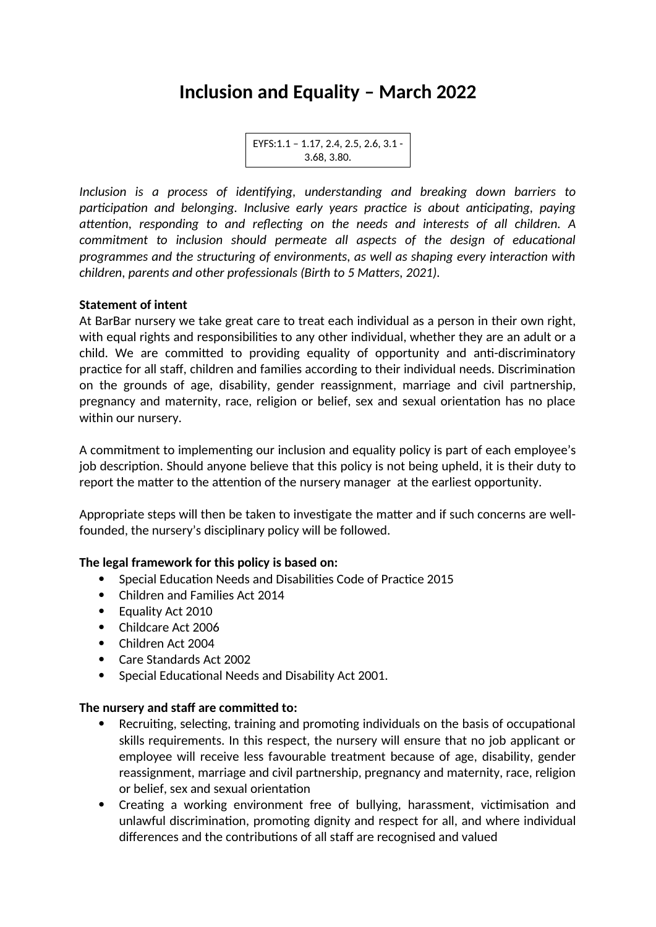# **Inclusion and Equality – March 2022**

```
EYFS:1.1 – 1.17, 2.4, 2.5, 2.6, 3.1 -
3.68, 3.80.
```
*Inclusion is a process of identifying, understanding and breaking down barriers to participation and belonging. Inclusive early years practice is about anticipating, paying attention, responding to and reflecting on the needs and interests of all children. A commitment to inclusion should permeate all aspects of the design of educational programmes and the structuring of environments, as well as shaping every interaction with children, parents and other professionals (Birth to 5 Matters, 2021).*

#### **Statement of intent**

At BarBar nursery we take great care to treat each individual as a person in their own right, with equal rights and responsibilities to any other individual, whether they are an adult or a child. We are committed to providing equality of opportunity and anti-discriminatory practice for all staff, children and families according to their individual needs. Discrimination on the grounds of age, disability, gender reassignment, marriage and civil partnership, pregnancy and maternity, race, religion or belief, sex and sexual orientation has no place within our nursery.

A commitment to implementing our inclusion and equality policy is part of each employee's job description. Should anyone believe that this policy is not being upheld, it is their duty to report the matter to the attention of the nursery manager at the earliest opportunity.

Appropriate steps will then be taken to investigate the matter and if such concerns are wellfounded, the nursery's disciplinary policy will be followed.

## **The legal framework for this policy is based on:**

- Special Education Needs and Disabilities Code of Practice 2015
- Children and Families Act 2014
- Equality Act 2010
- Childcare Act 2006
- Children Act 2004
- Care Standards Act 2002
- Special Educational Needs and Disability Act 2001.

#### **The nursery and staff are committed to:**

- Recruiting, selecting, training and promoting individuals on the basis of occupational skills requirements. In this respect, the nursery will ensure that no job applicant or employee will receive less favourable treatment because of age, disability, gender reassignment, marriage and civil partnership, pregnancy and maternity, race, religion or belief, sex and sexual orientation
- Creating a working environment free of bullying, harassment, victimisation and unlawful discrimination, promoting dignity and respect for all, and where individual differences and the contributions of all staff are recognised and valued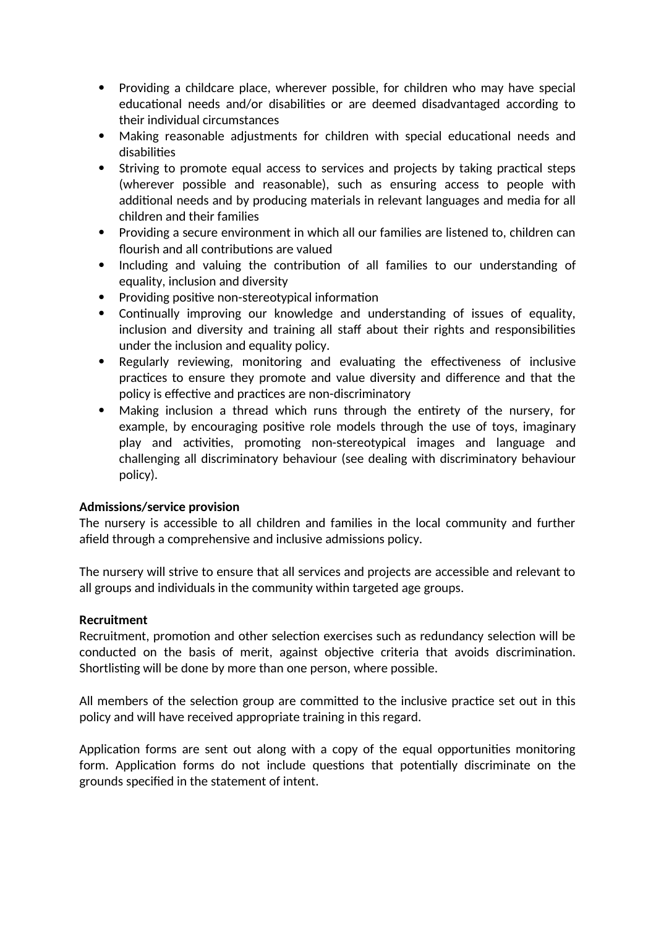- Providing a childcare place, wherever possible, for children who may have special educational needs and/or disabilities or are deemed disadvantaged according to their individual circumstances
- Making reasonable adjustments for children with special educational needs and disabilities
- Striving to promote equal access to services and projects by taking practical steps (wherever possible and reasonable), such as ensuring access to people with additional needs and by producing materials in relevant languages and media for all children and their families
- Providing a secure environment in which all our families are listened to, children can flourish and all contributions are valued
- Including and valuing the contribution of all families to our understanding of equality, inclusion and diversity
- Providing positive non-stereotypical information
- Continually improving our knowledge and understanding of issues of equality, inclusion and diversity and training all staff about their rights and responsibilities under the inclusion and equality policy.
- Regularly reviewing, monitoring and evaluating the effectiveness of inclusive practices to ensure they promote and value diversity and difference and that the policy is effective and practices are non-discriminatory
- Making inclusion a thread which runs through the entirety of the nursery, for example, by encouraging positive role models through the use of toys, imaginary play and activities, promoting non-stereotypical images and language and challenging all discriminatory behaviour (see dealing with discriminatory behaviour policy).

## **Admissions/service provision**

The nursery is accessible to all children and families in the local community and further afield through a comprehensive and inclusive admissions policy.

The nursery will strive to ensure that all services and projects are accessible and relevant to all groups and individuals in the community within targeted age groups.

#### **Recruitment**

Recruitment, promotion and other selection exercises such as redundancy selection will be conducted on the basis of merit, against objective criteria that avoids discrimination. Shortlisting will be done by more than one person, where possible.

All members of the selection group are committed to the inclusive practice set out in this policy and will have received appropriate training in this regard.

Application forms are sent out along with a copy of the equal opportunities monitoring form. Application forms do not include questions that potentially discriminate on the grounds specified in the statement of intent.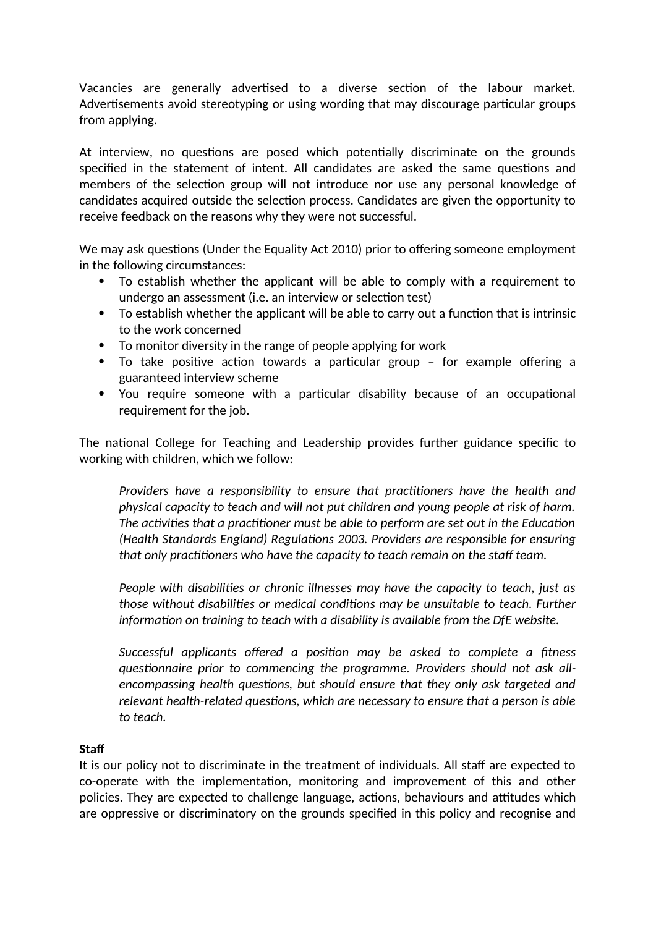Vacancies are generally advertised to a diverse section of the labour market. Advertisements avoid stereotyping or using wording that may discourage particular groups from applying.

At interview, no questions are posed which potentially discriminate on the grounds specified in the statement of intent. All candidates are asked the same questions and members of the selection group will not introduce nor use any personal knowledge of candidates acquired outside the selection process. Candidates are given the opportunity to receive feedback on the reasons why they were not successful.

We may ask questions (Under the Equality Act 2010) prior to offering someone employment in the following circumstances:

- To establish whether the applicant will be able to comply with a requirement to undergo an assessment (i.e. an interview or selection test)
- To establish whether the applicant will be able to carry out a function that is intrinsic to the work concerned
- To monitor diversity in the range of people applying for work
- To take positive action towards a particular group for example offering a guaranteed interview scheme
- You require someone with a particular disability because of an occupational requirement for the job.

The national College for Teaching and Leadership provides further guidance specific to working with children, which we follow:

*Providers have a responsibility to ensure that practitioners have the health and physical capacity to teach and will not put children and young people at risk of harm. The activities that a practitioner must be able to perform are set out in the Education (Health Standards England) Regulations 2003. Providers are responsible for ensuring that only practitioners who have the capacity to teach remain on the staff team.*

*People with disabilities or chronic illnesses may have the capacity to teach, just as those without disabilities or medical conditions may be unsuitable to teach. Further information on training to teach with a disability is available from the DfE website.*

*Successful applicants offered a position may be asked to complete a fitness questionnaire prior to commencing the programme. Providers should not ask allencompassing health questions, but should ensure that they only ask targeted and relevant health-related questions, which are necessary to ensure that a person is able to teach.*

## **Staff**

It is our policy not to discriminate in the treatment of individuals. All staff are expected to co-operate with the implementation, monitoring and improvement of this and other policies. They are expected to challenge language, actions, behaviours and attitudes which are oppressive or discriminatory on the grounds specified in this policy and recognise and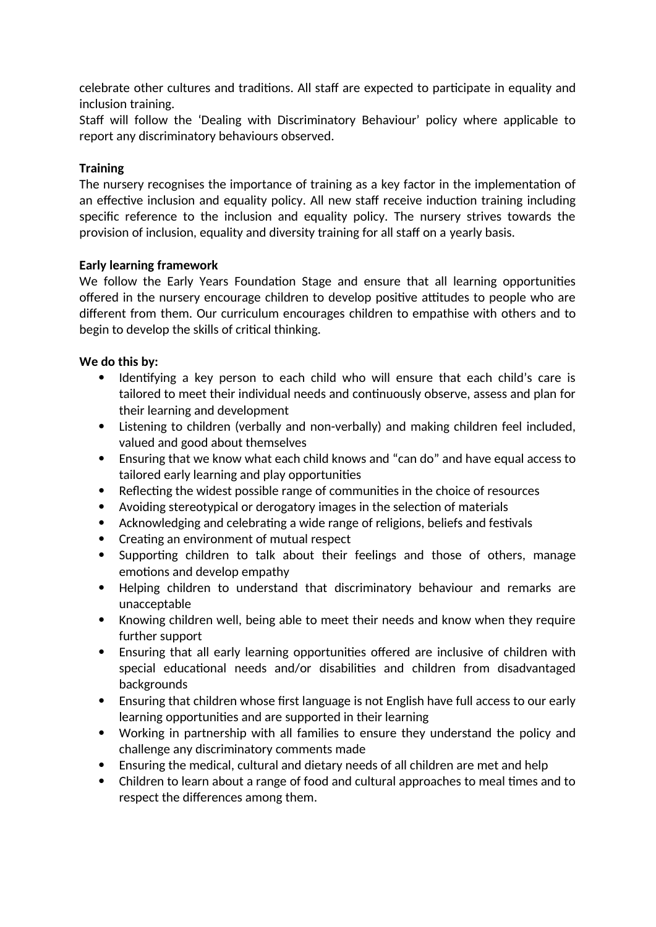celebrate other cultures and traditions. All staff are expected to participate in equality and inclusion training.

Staff will follow the 'Dealing with Discriminatory Behaviour' policy where applicable to report any discriminatory behaviours observed.

## **Training**

The nursery recognises the importance of training as a key factor in the implementation of an effective inclusion and equality policy. All new staff receive induction training including specific reference to the inclusion and equality policy. The nursery strives towards the provision of inclusion, equality and diversity training for all staff on a yearly basis.

## **Early learning framework**

We follow the Early Years Foundation Stage and ensure that all learning opportunities offered in the nursery encourage children to develop positive attitudes to people who are different from them. Our curriculum encourages children to empathise with others and to begin to develop the skills of critical thinking.

# **We do this by:**

- Identifying a key person to each child who will ensure that each child's care is tailored to meet their individual needs and continuously observe, assess and plan for their learning and development
- Listening to children (verbally and non-verbally) and making children feel included, valued and good about themselves
- Ensuring that we know what each child knows and "can do" and have equal access to tailored early learning and play opportunities
- Reflecting the widest possible range of communities in the choice of resources
- Avoiding stereotypical or derogatory images in the selection of materials
- Acknowledging and celebrating a wide range of religions, beliefs and festivals
- Creating an environment of mutual respect
- Supporting children to talk about their feelings and those of others, manage emotions and develop empathy
- Helping children to understand that discriminatory behaviour and remarks are unacceptable
- Knowing children well, being able to meet their needs and know when they require further support
- Ensuring that all early learning opportunities offered are inclusive of children with special educational needs and/or disabilities and children from disadvantaged backgrounds
- Ensuring that children whose first language is not English have full access to our early learning opportunities and are supported in their learning
- Working in partnership with all families to ensure they understand the policy and challenge any discriminatory comments made
- Ensuring the medical, cultural and dietary needs of all children are met and help
- Children to learn about a range of food and cultural approaches to meal times and to respect the differences among them.